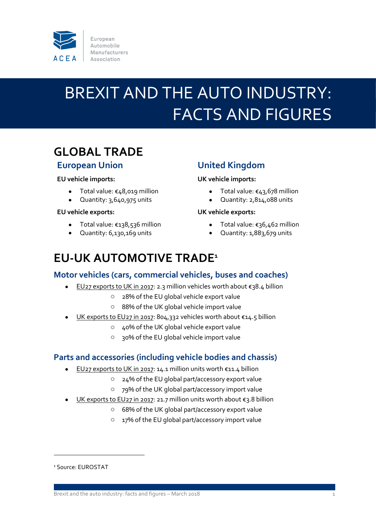

European Automobile Manufacturers Association

# BREXIT AND THE AUTO INDUSTRY: FACTS AND FIGURES

## **GLOBAL TRADE**

### **European Union**

#### **EU vehicle imports:**

- Total value: €48,019 million
- Quantity: 3,640,975 units

#### **EU vehicle exports:**

- Total value: €138,536 million
- Quantity: 6,130,169 units

## **United Kingdom**

#### **UK vehicle imports:**

- Total value: €43,678 million
- Quantity: 2,814,088 units

#### **UK vehicle exports:**

- Total value: €36,462 million
- Quantity: 1,883,679 units

## **EU-UK AUTOMOTIVE TRADE<sup>1</sup>**

### **Motor vehicles (cars, commercial vehicles, buses and coaches)**

- EU27 exports to UK in 2017: 2.3 million vehicles worth about €38.4 billion
	- o 28% of the EU global vehicle export value
	- o 88% of the UK global vehicle import value
- UK exports to EU27 in 2017: 804,332 vehicles worth about €14.5 billion
	- o 40% of the UK global vehicle export value
	- o 30% of the EU global vehicle import value

### **Parts and accessories (including vehicle bodies and chassis)**

- EU27 exports to UK in 2017: 14.1 million units worth €11.4 billion
	- o 24% of the EU global part/accessory export value
	- o 79% of the UK global part/accessory import value
- UK exports to EU27 in 2017: 21.7 million units worth about €3.8 billion
	- o 68% of the UK global part/accessory export value
	- o 17% of the EU global part/accessory import value

 $\overline{a}$ 

<sup>&</sup>lt;sup>1</sup> Source: EUROSTAT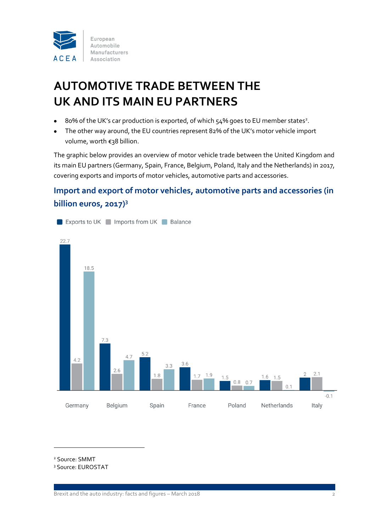

## **AUTOMOTIVE TRADE BETWEEN THE UK AND ITS MAIN EU PARTNERS**

- 80% of the UK's car production is exported, of which  $54\%$  goes to EU member states<sup>2</sup>.
- The other way around, the EU countries represent 82% of the UK's motor vehicle import volume, worth €38 billion.

The graphic below provides an overview of motor vehicle trade between the United Kingdom and its main EU partners (Germany, Spain, France, Belgium, Poland, Italy and the Netherlands) in 2017, covering exports and imports of motor vehicles, automotive parts and accessories.

## **Import and export of motor vehicles, automotive parts and accessories (in billion euros, 2017)<sup>3</sup>**



<sup>2</sup> Source: SMMT

 $\overline{a}$ 

<sup>3</sup> Source: EUROSTAT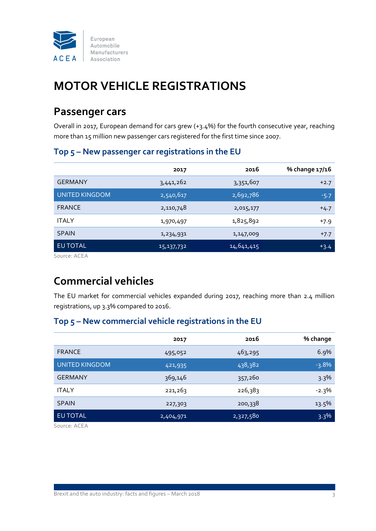

## **MOTOR VEHICLE REGISTRATIONS**

## **Passenger cars**

Overall in 2017, European demand for cars grew (+3.4%) for the fourth consecutive year, reaching more than 15 million new passenger cars registered for the first time since 2007.

### **Top 5 – New passenger car registrations in the EU**

|                | 2017       | 2016       | % change 17/16 |
|----------------|------------|------------|----------------|
| <b>GERMANY</b> | 3,441,262  | 3,351,607  | $+2.7$         |
| UNITED KINGDOM | 2,540,617  | 2,692,786  | $-5.7$         |
| <b>FRANCE</b>  | 2,110,748  | 2,015,177  | $+4.7$         |
| <b>ITALY</b>   | 1,970,497  | 1,825,892  | $+7.9$         |
| <b>SPAIN</b>   | 1,234,931  | 1,147,009  | $+7.7$         |
| EU TOTAL       | 15,137,732 | 14,641,415 | $+3.4$         |

Source: ACEA

## **Commercial vehicles**

The EU market for commercial vehicles expanded during 2017, reaching more than 2.4 million registrations, up 3.3% compared to 2016.

### **Top 5 – New commercial vehicle registrations in the EU**

|                       | 2017      | 2016      | % change |
|-----------------------|-----------|-----------|----------|
| <b>FRANCE</b>         | 495,052   | 463,295   | 6.9%     |
| <b>UNITED KINGDOM</b> | 421,935   | 438,382   | $-3.8%$  |
| <b>GERMANY</b>        | 369,146   | 357,260   | 3.3%     |
| <b>ITALY</b>          | 221,263   | 226,383   | $-2.3\%$ |
| <b>SPAIN</b>          | 227,303   | 200,338   | 13.5%    |
| EU TOTAL              | 2,404,971 | 2,327,580 | 3.3%     |

Source: ACEA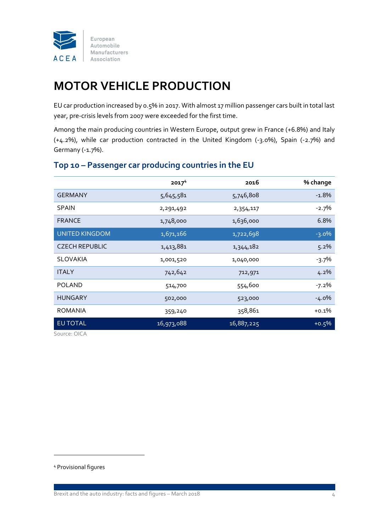

## **MOTOR VEHICLE PRODUCTION**

EU car production increased by 0.5% in 2017. With almost 17 million passenger cars built in total last year, pre-crisis levels from 2007 were exceeded for the first time.

Among the main producing countries in Western Europe, output grew in France (+6.8%) and Italy (+4.2%), while car production contracted in the United Kingdom (-3.0%), Spain (-2.7%) and Germany (-1.7%).

|                       | 2017 <sup>4</sup> | 2016       | % change |
|-----------------------|-------------------|------------|----------|
| <b>GERMANY</b>        | 5,645,581         | 5,746,808  | $-1.8\%$ |
| <b>SPAIN</b>          | 2,291,492         | 2,354,117  | $-2.7%$  |
| <b>FRANCE</b>         | 1,748,000         | 1,636,000  | 6.8%     |
| <b>UNITED KINGDOM</b> | 1,671,166         | 1,722,698  | $-3.0\%$ |
| <b>CZECH REPUBLIC</b> | 1,413,881         | 1,344,182  | 5.2%     |
| <b>SLOVAKIA</b>       | 1,001,520         | 1,040,000  | $-3.7\%$ |
| <b>ITALY</b>          | 742,642           | 712,971    | $4.2\%$  |
| <b>POLAND</b>         | 514,700           | 554,600    | $-7.2\%$ |
| <b>HUNGARY</b>        | 502,000           | 523,000    | $-4.0\%$ |
| <b>ROMANIA</b>        | 359,240           | 358,861    | $+0.1\%$ |
| <b>EU TOTAL</b>       | 16,973,088        | 16,887,225 | $+0.5%$  |

## **Top 10 – Passenger car producing countries in the EU**

Source: OICA

<sup>4</sup> Provisional figures

 $\overline{a}$